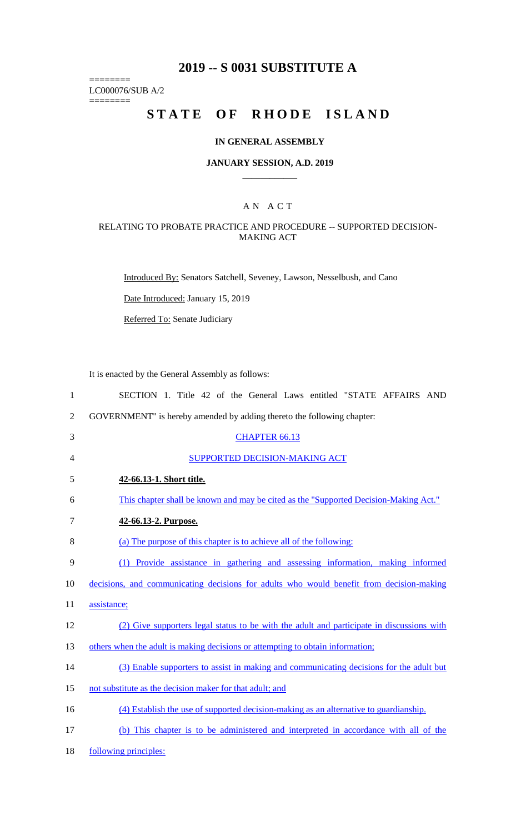## **2019 -- S 0031 SUBSTITUTE A**

LC000076/SUB A/2

========

========

# **STATE OF RHODE ISLAND**

## **IN GENERAL ASSEMBLY**

#### **JANUARY SESSION, A.D. 2019 \_\_\_\_\_\_\_\_\_\_\_\_**

## A N A C T

### RELATING TO PROBATE PRACTICE AND PROCEDURE -- SUPPORTED DECISION-MAKING ACT

Introduced By: Senators Satchell, Seveney, Lawson, Nesselbush, and Cano

Date Introduced: January 15, 2019

Referred To: Senate Judiciary

It is enacted by the General Assembly as follows:

| $\mathbf{1}$   | SECTION 1. Title 42 of the General Laws entitled "STATE AFFAIRS AND                       |  |  |  |  |  |
|----------------|-------------------------------------------------------------------------------------------|--|--|--|--|--|
| $\overline{2}$ | GOVERNMENT" is hereby amended by adding thereto the following chapter:                    |  |  |  |  |  |
| 3              | <b>CHAPTER 66.13</b>                                                                      |  |  |  |  |  |
| 4              | <b>SUPPORTED DECISION-MAKING ACT</b>                                                      |  |  |  |  |  |
| 5              | 42-66.13-1. Short title.                                                                  |  |  |  |  |  |
| 6              | This chapter shall be known and may be cited as the "Supported Decision-Making Act."      |  |  |  |  |  |
| 7              | 42-66.13-2. Purpose.                                                                      |  |  |  |  |  |
| 8              | (a) The purpose of this chapter is to achieve all of the following:                       |  |  |  |  |  |
| 9              | (1) Provide assistance in gathering and assessing information, making informed            |  |  |  |  |  |
| 10             | decisions, and communicating decisions for adults who would benefit from decision-making  |  |  |  |  |  |
| 11             | assistance;                                                                               |  |  |  |  |  |
| 12             | (2) Give supporters legal status to be with the adult and participate in discussions with |  |  |  |  |  |
| 13             | others when the adult is making decisions or attempting to obtain information;            |  |  |  |  |  |
| 14             | (3) Enable supporters to assist in making and communicating decisions for the adult but   |  |  |  |  |  |
| 15             | not substitute as the decision maker for that adult; and                                  |  |  |  |  |  |
| 16             | (4) Establish the use of supported decision-making as an alternative to guardianship.     |  |  |  |  |  |
| 17             | (b) This chapter is to be administered and interpreted in accordance with all of the      |  |  |  |  |  |
| 18             | following principles:                                                                     |  |  |  |  |  |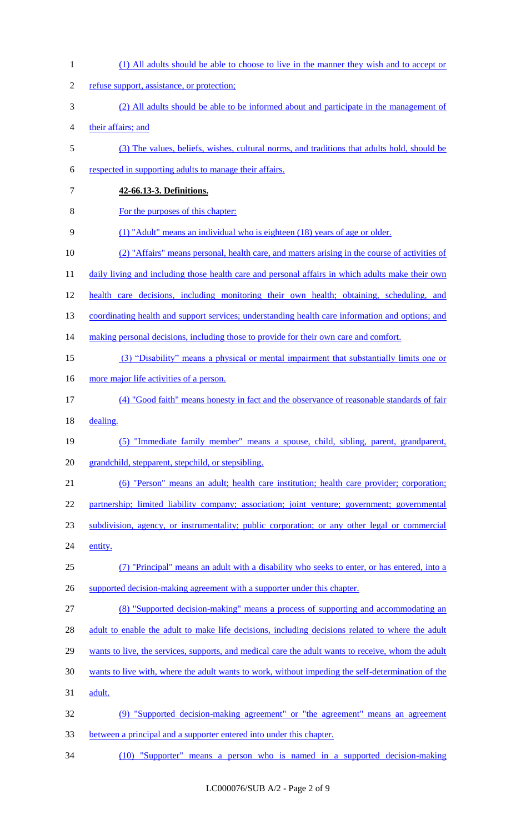| $\mathbf{1}$   | (1) All adults should be able to choose to live in the manner they wish and to accept or           |
|----------------|----------------------------------------------------------------------------------------------------|
| $\overline{2}$ | refuse support, assistance, or protection;                                                         |
| 3              | (2) All adults should be able to be informed about and participate in the management of            |
| $\overline{4}$ | their affairs; and                                                                                 |
| $\mathfrak s$  | (3) The values, beliefs, wishes, cultural norms, and traditions that adults hold, should be        |
| 6              | respected in supporting adults to manage their affairs.                                            |
| $\tau$         | 42-66.13-3. Definitions.                                                                           |
| 8              | For the purposes of this chapter:                                                                  |
| 9              | (1) "Adult" means an individual who is eighteen (18) years of age or older.                        |
| 10             | (2) "Affairs" means personal, health care, and matters arising in the course of activities of      |
| 11             | daily living and including those health care and personal affairs in which adults make their own   |
| 12             | health care decisions, including monitoring their own health; obtaining, scheduling, and           |
| 13             | coordinating health and support services; understanding health care information and options; and   |
| 14             | making personal decisions, including those to provide for their own care and comfort.              |
| 15             | (3) "Disability" means a physical or mental impairment that substantially limits one or            |
| 16             | more major life activities of a person.                                                            |
| 17             | (4) "Good faith" means honesty in fact and the observance of reasonable standards of fair          |
| 18             | dealing.                                                                                           |
| 19             | (5) "Immediate family member" means a spouse, child, sibling, parent, grandparent,                 |
| 20             | grandchild, stepparent, stepchild, or stepsibling.                                                 |
| 21             | (6) "Person" means an adult; health care institution; health care provider; corporation;           |
| 22             | partnership; limited liability company; association; joint venture; government; governmental       |
| 23             | subdivision, agency, or instrumentality; public corporation; or any other legal or commercial      |
| 24             | entity.                                                                                            |
| 25             | (7) "Principal" means an adult with a disability who seeks to enter, or has entered, into a        |
| 26             | supported decision-making agreement with a supporter under this chapter.                           |
| 27             | (8) "Supported decision-making" means a process of supporting and accommodating an                 |
| 28             | adult to enable the adult to make life decisions, including decisions related to where the adult   |
| 29             | wants to live, the services, supports, and medical care the adult wants to receive, whom the adult |
| 30             | wants to live with, where the adult wants to work, without impeding the self-determination of the  |
| 31             | adult.                                                                                             |
| 32             | (9) "Supported decision-making agreement" or "the agreement" means an agreement                    |
| 33             | between a principal and a supporter entered into under this chapter.                               |
| 34             | (10) "Supporter" means a person who is named in a supported decision-making                        |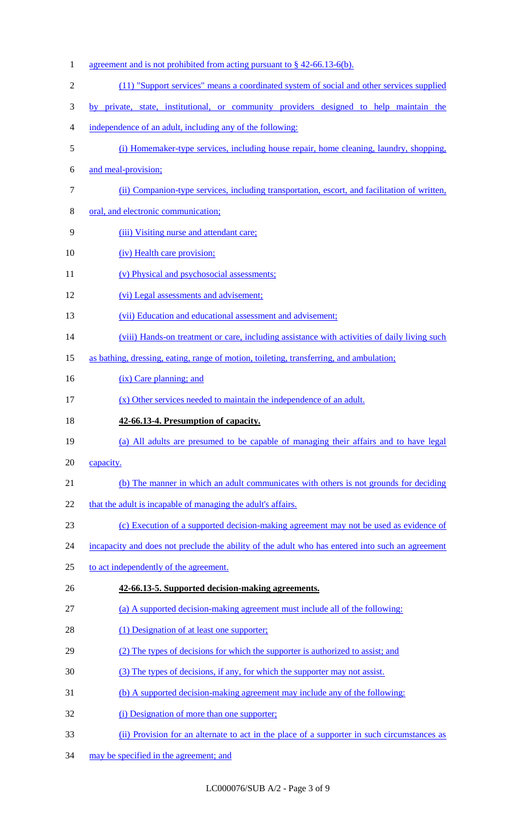1 agreement and is not prohibited from acting pursuant to § 42-66.13-6(b). (11) "Support services" means a coordinated system of social and other services supplied by private, state, institutional, or community providers designed to help maintain the independence of an adult, including any of the following: (i) Homemaker-type services, including house repair, home cleaning, laundry, shopping, and meal-provision; (ii) Companion-type services, including transportation, escort, and facilitation of written, oral, and electronic communication; (iii) Visiting nurse and attendant care; 10 (iv) Health care provision; 11 (v) Physical and psychosocial assessments; (vi) Legal assessments and advisement; 13 (vii) Education and educational assessment and advisement; 14 (viii) Hands-on treatment or care, including assistance with activities of daily living such as bathing, dressing, eating, range of motion, toileting, transferring, and ambulation; 16 (ix) Care planning; and 17 (x) Other services needed to maintain the independence of an adult. **42-66.13-4. Presumption of capacity.**  (a) All adults are presumed to be capable of managing their affairs and to have legal 20 capacity. (b) The manner in which an adult communicates with others is not grounds for deciding 22 that the adult is incapable of managing the adult's affairs. (c) Execution of a supported decision-making agreement may not be used as evidence of 24 incapacity and does not preclude the ability of the adult who has entered into such an agreement to act independently of the agreement. **42-66.13-5. Supported decision-making agreements.**  (a) A supported decision-making agreement must include all of the following: 28 (1) Designation of at least one supporter; 29 (2) The types of decisions for which the supporter is authorized to assist; and (3) The types of decisions, if any, for which the supporter may not assist. (b) A supported decision-making agreement may include any of the following: 32 (i) Designation of more than one supporter; (ii) Provision for an alternate to act in the place of a supporter in such circumstances as may be specified in the agreement; and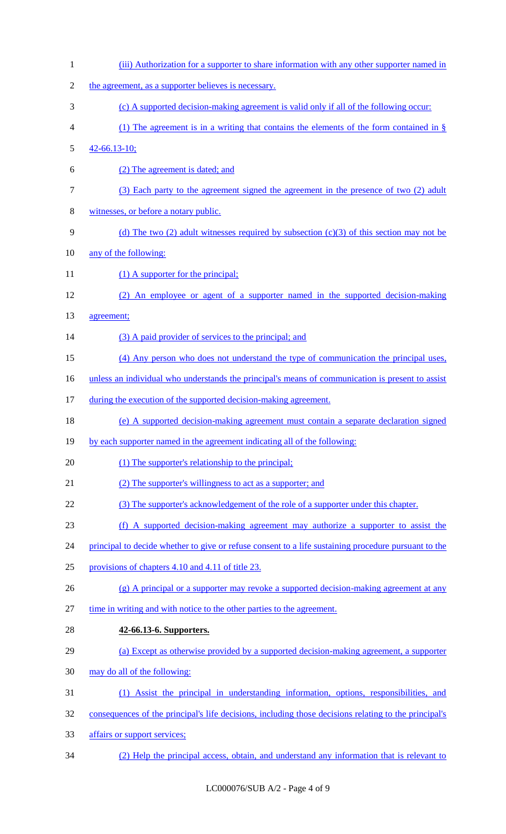| $\mathbf{1}$   | (iii) Authorization for a supporter to share information with any other supporter named in            |  |  |  |  |  |
|----------------|-------------------------------------------------------------------------------------------------------|--|--|--|--|--|
| $\overline{2}$ | the agreement, as a supporter believes is necessary.                                                  |  |  |  |  |  |
| 3              | (c) A supported decision-making agreement is valid only if all of the following occur:                |  |  |  |  |  |
| $\overline{4}$ | (1) The agreement is in a writing that contains the elements of the form contained in $\S$            |  |  |  |  |  |
| 5              | $42 - 66.13 - 10;$                                                                                    |  |  |  |  |  |
| 6              | (2) The agreement is dated; and                                                                       |  |  |  |  |  |
| 7              | (3) Each party to the agreement signed the agreement in the presence of two (2) adult                 |  |  |  |  |  |
| $8\,$          | witnesses, or before a notary public.                                                                 |  |  |  |  |  |
| 9              | (d) The two (2) adult witnesses required by subsection (c)(3) of this section may not be              |  |  |  |  |  |
| 10             | any of the following:                                                                                 |  |  |  |  |  |
| 11             | $(1)$ A supporter for the principal;                                                                  |  |  |  |  |  |
| 12             | (2) An employee or agent of a supporter named in the supported decision-making                        |  |  |  |  |  |
| 13             | agreement;                                                                                            |  |  |  |  |  |
| 14             | (3) A paid provider of services to the principal; and                                                 |  |  |  |  |  |
| 15             | (4) Any person who does not understand the type of communication the principal uses,                  |  |  |  |  |  |
| 16             | unless an individual who understands the principal's means of communication is present to assist      |  |  |  |  |  |
| 17             | during the execution of the supported decision-making agreement.                                      |  |  |  |  |  |
| 18             | (e) A supported decision-making agreement must contain a separate declaration signed                  |  |  |  |  |  |
| 19             | by each supporter named in the agreement indicating all of the following:                             |  |  |  |  |  |
| 20             | (1) The supporter's relationship to the principal;                                                    |  |  |  |  |  |
| 21             | (2) The supporter's willingness to act as a supporter; and                                            |  |  |  |  |  |
| 22             | (3) The supporter's acknowledgement of the role of a supporter under this chapter.                    |  |  |  |  |  |
| 23             | (f) A supported decision-making agreement may authorize a supporter to assist the                     |  |  |  |  |  |
| 24             | principal to decide whether to give or refuse consent to a life sustaining procedure pursuant to the  |  |  |  |  |  |
| 25             | provisions of chapters 4.10 and 4.11 of title 23.                                                     |  |  |  |  |  |
| 26             | $(g)$ A principal or a supporter may revoke a supported decision-making agreement at any              |  |  |  |  |  |
| 27             | time in writing and with notice to the other parties to the agreement.                                |  |  |  |  |  |
| 28             | 42-66.13-6. Supporters.                                                                               |  |  |  |  |  |
| 29             | (a) Except as otherwise provided by a supported decision-making agreement, a supporter                |  |  |  |  |  |
| 30             | may do all of the following:                                                                          |  |  |  |  |  |
| 31             | (1) Assist the principal in understanding information, options, responsibilities, and                 |  |  |  |  |  |
| 32             | consequences of the principal's life decisions, including those decisions relating to the principal's |  |  |  |  |  |
| 33             | affairs or support services;                                                                          |  |  |  |  |  |
| 34             | (2) Help the principal access, obtain, and understand any information that is relevant to             |  |  |  |  |  |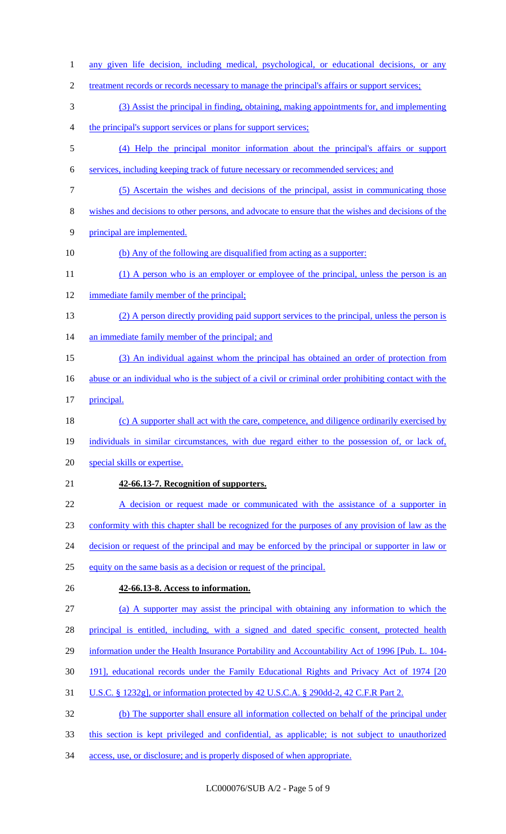| $\mathbf{1}$   | any given life decision, including medical, psychological, or educational decisions, or any         |
|----------------|-----------------------------------------------------------------------------------------------------|
| $\overline{2}$ | treatment records or records necessary to manage the principal's affairs or support services;       |
| 3              | (3) Assist the principal in finding, obtaining, making appointments for, and implementing           |
| 4              | the principal's support services or plans for support services;                                     |
| 5              | (4) Help the principal monitor information about the principal's affairs or support                 |
| 6              | services, including keeping track of future necessary or recommended services; and                  |
| $\tau$         | (5) Ascertain the wishes and decisions of the principal, assist in communicating those              |
| 8              | wishes and decisions to other persons, and advocate to ensure that the wishes and decisions of the  |
| 9              | principal are implemented.                                                                          |
| 10             | (b) Any of the following are disqualified from acting as a supporter:                               |
| 11             | (1) A person who is an employer or employee of the principal, unless the person is an               |
| 12             | immediate family member of the principal;                                                           |
| 13             | (2) A person directly providing paid support services to the principal, unless the person is        |
| 14             | an immediate family member of the principal; and                                                    |
| 15             | (3) An individual against whom the principal has obtained an order of protection from               |
| 16             | abuse or an individual who is the subject of a civil or criminal order prohibiting contact with the |
| 17             | principal.                                                                                          |
| 18             | (c) A supporter shall act with the care, competence, and diligence ordinarily exercised by          |
| 19             | individuals in similar circumstances, with due regard either to the possession of, or lack of,      |
| 20             | special skills or expertise.                                                                        |
| 21             | 42-66.13-7. Recognition of supporters.                                                              |
| 22             |                                                                                                     |
|                | A decision or request made or communicated with the assistance of a supporter in                    |
| 23             | conformity with this chapter shall be recognized for the purposes of any provision of law as the    |
| 24             | decision or request of the principal and may be enforced by the principal or supporter in law or    |
| 25             | equity on the same basis as a decision or request of the principal.                                 |
| 26             | 42-66.13-8. Access to information.                                                                  |
| 27             | (a) A supporter may assist the principal with obtaining any information to which the                |
| 28             | principal is entitled, including, with a signed and dated specific consent, protected health        |
| 29             | information under the Health Insurance Portability and Accountability Act of 1996 [Pub. L. 104-     |
| 30             | 191], educational records under the Family Educational Rights and Privacy Act of 1974 [20]          |
| 31             | U.S.C. § 1232g], or information protected by 42 U.S.C.A. § 290dd-2, 42 C.F.R Part 2.                |
| 32             | (b) The supporter shall ensure all information collected on behalf of the principal under           |
| 33             | this section is kept privileged and confidential, as applicable; is not subject to unauthorized     |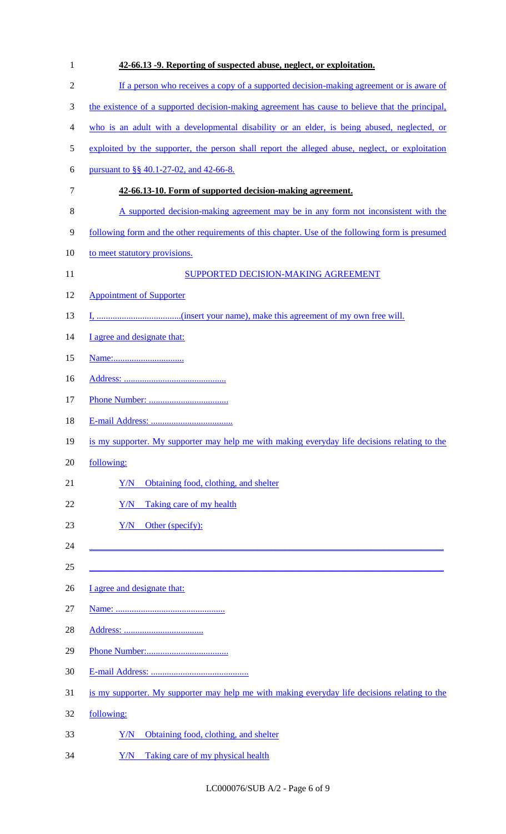| $\mathbf{1}$   | 42-66.13 -9. Reporting of suspected abuse, neglect, or exploitation.                             |
|----------------|--------------------------------------------------------------------------------------------------|
| $\overline{2}$ | If a person who receives a copy of a supported decision-making agreement or is aware of          |
| 3              | the existence of a supported decision-making agreement has cause to believe that the principal,  |
| 4              | who is an adult with a developmental disability or an elder, is being abused, neglected, or      |
| 5              | exploited by the supporter, the person shall report the alleged abuse, neglect, or exploitation  |
| 6              | pursuant to §§ 40.1-27-02, and 42-66-8.                                                          |
| 7              | 42-66.13-10. Form of supported decision-making agreement.                                        |
| 8              | A supported decision-making agreement may be in any form not inconsistent with the               |
| 9              | following form and the other requirements of this chapter. Use of the following form is presumed |
| 10             | to meet statutory provisions.                                                                    |
| 11             | SUPPORTED DECISION-MAKING AGREEMENT                                                              |
| 12             | <b>Appointment of Supporter</b>                                                                  |
| 13             |                                                                                                  |
| 14             | I agree and designate that:                                                                      |
| 15             |                                                                                                  |
| 16             |                                                                                                  |
| 17             |                                                                                                  |
| 18             |                                                                                                  |
| 19             | is my supporter. My supporter may help me with making everyday life decisions relating to the    |
| 20             | following:                                                                                       |
| 21             | Obtaining food, clothing, and shelter<br>Y/N                                                     |
| 22             | Y/N<br>Taking care of my health                                                                  |
| 23             | Other (specify):<br>Y/N                                                                          |
| 24             |                                                                                                  |
| 25             |                                                                                                  |
| 26             | I agree and designate that:                                                                      |
| 27             |                                                                                                  |
| 28             |                                                                                                  |
| 29             |                                                                                                  |
| 30             |                                                                                                  |
| 31             | is my supporter. My supporter may help me with making everyday life decisions relating to the    |
| 32             | following:                                                                                       |
| 33             | Obtaining food, clothing, and shelter<br>Y/N                                                     |
| 34             | Taking care of my physical health<br>Y/N                                                         |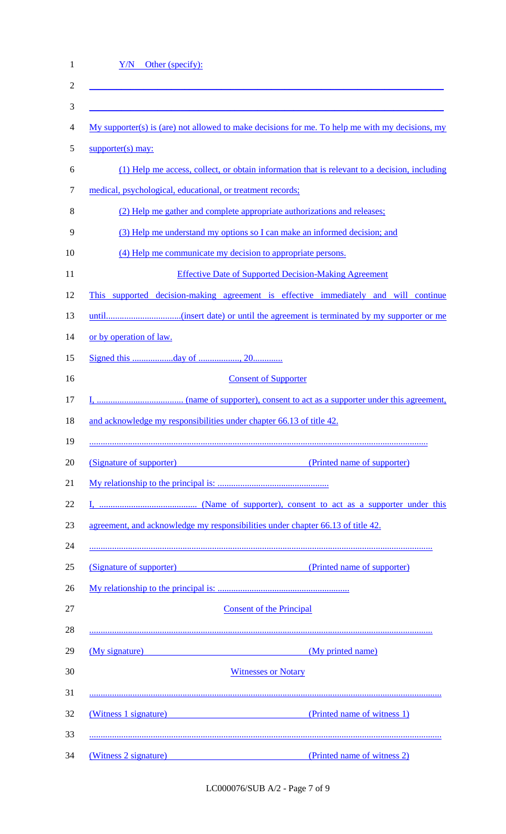| <u>Y/N Other (specify):</u>                                                                  |                                                                                                   |  |  |  |  |  |
|----------------------------------------------------------------------------------------------|---------------------------------------------------------------------------------------------------|--|--|--|--|--|
|                                                                                              |                                                                                                   |  |  |  |  |  |
|                                                                                              |                                                                                                   |  |  |  |  |  |
|                                                                                              | $My$ supporter(s) is (are) not allowed to make decisions for me. To help me with my decisions, my |  |  |  |  |  |
| $supporter(s)$ may:                                                                          |                                                                                                   |  |  |  |  |  |
| (1) Help me access, collect, or obtain information that is relevant to a decision, including |                                                                                                   |  |  |  |  |  |
| medical, psychological, educational, or treatment records;                                   |                                                                                                   |  |  |  |  |  |
| (2) Help me gather and complete appropriate authorizations and releases;                     |                                                                                                   |  |  |  |  |  |
| (3) Help me understand my options so I can make an informed decision; and                    |                                                                                                   |  |  |  |  |  |
| (4) Help me communicate my decision to appropriate persons.                                  |                                                                                                   |  |  |  |  |  |
|                                                                                              | <b>Effective Date of Supported Decision-Making Agreement</b>                                      |  |  |  |  |  |
| This supported decision-making agreement is effective immediately and will continue          |                                                                                                   |  |  |  |  |  |
|                                                                                              |                                                                                                   |  |  |  |  |  |
| or by operation of law.                                                                      |                                                                                                   |  |  |  |  |  |
|                                                                                              |                                                                                                   |  |  |  |  |  |
| <b>Consent of Supporter</b>                                                                  |                                                                                                   |  |  |  |  |  |
|                                                                                              |                                                                                                   |  |  |  |  |  |
| and acknowledge my responsibilities under chapter 66.13 of title 42.                         |                                                                                                   |  |  |  |  |  |
|                                                                                              |                                                                                                   |  |  |  |  |  |
|                                                                                              | (Signature of supporter) (Printed name of supporter)                                              |  |  |  |  |  |
|                                                                                              |                                                                                                   |  |  |  |  |  |
|                                                                                              |                                                                                                   |  |  |  |  |  |
| agreement, and acknowledge my responsibilities under chapter 66.13 of title 42.              |                                                                                                   |  |  |  |  |  |
|                                                                                              |                                                                                                   |  |  |  |  |  |
|                                                                                              | (Signature of supporter) (Printed name of supporter)                                              |  |  |  |  |  |
|                                                                                              |                                                                                                   |  |  |  |  |  |
|                                                                                              | <b>Consent of the Principal</b>                                                                   |  |  |  |  |  |
|                                                                                              |                                                                                                   |  |  |  |  |  |
| (My signature)                                                                               | (My printed name)                                                                                 |  |  |  |  |  |
|                                                                                              | <b>Witnesses or Notary</b>                                                                        |  |  |  |  |  |
|                                                                                              | (Witness 1 signature) (Printed name of witness 1)                                                 |  |  |  |  |  |
|                                                                                              |                                                                                                   |  |  |  |  |  |
|                                                                                              | (Witness 2 signature) (Printed name of witness 2)                                                 |  |  |  |  |  |

LC000076/SUB A/2 - Page 7 of 9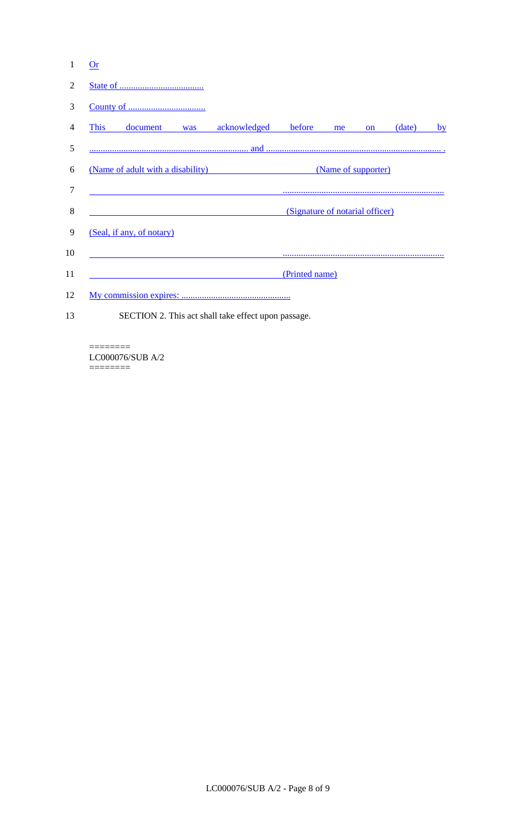| 1  | Or                                                       |                           |     |                                                     |                                 |    |               |        |    |
|----|----------------------------------------------------------|---------------------------|-----|-----------------------------------------------------|---------------------------------|----|---------------|--------|----|
| 2  |                                                          |                           |     |                                                     |                                 |    |               |        |    |
| 3  |                                                          |                           |     |                                                     |                                 |    |               |        |    |
| 4  | <b>This</b>                                              | document                  | was | acknowledged                                        | before                          | me | <sub>on</sub> | (date) | by |
| 5  |                                                          |                           |     |                                                     |                                 |    |               |        |    |
| 6  | (Name of supporter)<br>(Name of adult with a disability) |                           |     |                                                     |                                 |    |               |        |    |
| 7  |                                                          |                           |     |                                                     |                                 |    |               |        |    |
| 8  |                                                          |                           |     |                                                     | (Signature of notarial officer) |    |               |        |    |
| 9  |                                                          | (Seal, if any, of notary) |     |                                                     |                                 |    |               |        |    |
| 10 |                                                          |                           |     |                                                     |                                 |    |               |        |    |
| 11 |                                                          |                           |     |                                                     | (Printed name)                  |    |               |        |    |
| 12 |                                                          |                           |     |                                                     |                                 |    |               |        |    |
| 13 |                                                          |                           |     | SECTION 2. This act shall take effect upon passage. |                                 |    |               |        |    |

======== LC000076/SUB A/2 ========